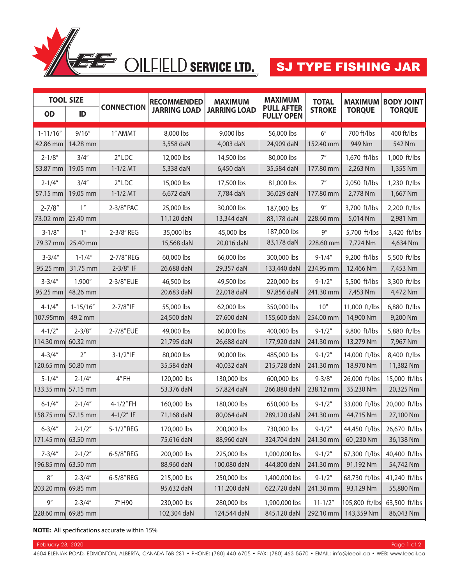

| <b>TOOL SIZE</b> |                |                   | <b>RECOMMENDED</b>  | <b>MAXIMUM</b>      | <b>MAXIMUM</b>                         | <b>TOTAL</b>  | <b>MAXIMUM</b> | <b>TIOU YOOD</b> |
|------------------|----------------|-------------------|---------------------|---------------------|----------------------------------------|---------------|----------------|------------------|
| <b>OD</b>        | ID             | <b>CONNECTION</b> | <b>JARRING LOAD</b> | <b>JARRING LOAD</b> | <b>PULL AFTER</b><br><b>FULLY OPEN</b> | <b>STROKE</b> | <b>TORQUE</b>  | <b>TORQUE</b>    |
| $1 - 11/16"$     | 9/16''         | 1" AMMT           | 8,000 lbs           | 9,000 lbs           | 56,000 lbs                             | 6''           | 700 ft/lbs     | 400 ft/lbs       |
| 42.86 mm         | 14.28 mm       |                   | 3,558 daN           | 4,003 daN           | 24,909 daN                             | 152.40 mm     | 949 Nm         | 542 Nm           |
| $2 - 1/8"$       | 3/4''          | $2''$ LDC         | 12,000 lbs          | 14,500 lbs          | 80,000 lbs                             | 7''           | 1,670 ft/lbs   | 1,000 ft/lbs     |
| 53.87 mm         | 19.05 mm       | $1 - 1/2$ MT      | 5,338 daN           | 6,450 daN           | 35,584 daN                             | 177.80 mm     | 2,263 Nm       | 1,355 Nm         |
| $2 - 1/4''$      | 3/4''          | $2''$ LDC         | 15,000 lbs          | 17,500 lbs          | 81,000 lbs                             | 7''           | 2,050 ft/lbs   | 1,230 ft/lbs     |
| 57.15 mm         | 19.05 mm       | $1 - 1/2$ MT      | 6,672 daN           | 7,784 daN           | 36,029 daN                             | 177.80 mm     | 2,778 Nm       | 1,667 Nm         |
| $2 - 7/8"$       | 1 <sup>n</sup> | 2-3/8" PAC        | 25,000 lbs          | 30,000 lbs          | 187,000 lbs                            | 9''           | 3,700 ft/lbs   | 2,200 ft/lbs     |
| 73.02 mm         | 25.40 mm       |                   | 11,120 daN          | 13,344 daN          | 83,178 daN                             | 228.60 mm     | 5,014 Nm       | 2,981 Nm         |
| $3 - 1/8"$       | 1 <sup>n</sup> | 2-3/8" REG        | 35,000 lbs          | 45,000 lbs          | 187,000 lbs                            | 9''           | 5,700 ft/lbs   | 3,420 ft/lbs     |
| 79.37 mm         | 25.40 mm       |                   | 15,568 daN          | 20,016 daN          | 83,178 daN                             | 228.60 mm     | 7,724 Nm       | 4,634 Nm         |
| $3 - 3/4"$       | $1 - 1/4"$     | 2-7/8" REG        | 60,000 lbs          | 66,000 lbs          | 300,000 lbs                            | $9 - 1/4''$   | 9,200 ft/lbs   | 5,500 ft/lbs     |
| 95.25 mm         | 31.75 mm       | $2 - 3/8"$ IF     | 26,688 daN          | 29,357 daN          | 133,440 daN                            | 234.95 mm     | 12,466 Nm      | 7,453 Nm         |
| $3 - 3/4"$       | 1.900"         | 2-3/8" EUE        | 46,500 lbs          | 49,500 lbs          | 220,000 lbs                            | $9 - 1/2''$   | 5,500 ft/lbs   | 3,300 ft/lbs     |
| 95.25 mm         | 48.26 mm       |                   | 20,683 daN          | 22,018 daN          | 97,856 daN                             | 241.30 mm     | 7,453 Nm       | 4,472 Nm         |
| $4 - 1/4''$      | $1 - 15/16''$  | 2-7/8" IF         | 55,000 lbs          | 62,000 lbs          | 350,000 lbs                            | 10''          | 11,000 ft/lbs  | 6,880 ft/lbs     |
| 107.95mm         | 49.2 mm        |                   | 24,500 daN          | 27,600 daN          | 155,600 daN                            | 254.00 mm     | 14,900 Nm      | 9,200 Nm         |
| $4 - 1/2"$       | $2 - 3/8"$     | 2-7/8" EUE        | 49,000 lbs          | 60,000 lbs          | 400,000 lbs                            | $9 - 1/2"$    | 9,800 ft/lbs   | 5,880 ft/lbs     |
| 114.30 mm        | 60.32 mm       |                   | 21,795 daN          | 26,688 daN          | 177,920 daN                            | 241.30 mm     | 13,279 Nm      | 7,967 Nm         |
| $4 - 3/4''$      | 2 <sup>n</sup> | $3 - 1/2"$ IF     | 80,000 lbs          | 90,000 lbs          | 485,000 lbs                            | $9 - 1/2"$    | 14,000 ft/lbs  | 8,400 ft/lbs     |
| 120.65 mm        | 50.80 mm       |                   | 35,584 daN          | 40,032 daN          | 215,728 daN                            | 241.30 mm     | 18,970 Nm      | 11,382 Nm        |
| $5 - 1/4"$       | $2 - 1/4"$     | 4"FH              | 120,000 lbs         | 130,000 lbs         | 600,000 lbs                            | $9 - 3/8''$   | 26,000 ft/lbs  | 15,000 ft/lbs    |
| 133.35 mm        | 57.15 mm       |                   | 53,376 daN          | 57,824 daN          | 266,880 daN                            | 238.12 mm     | 35,230 Nm      | 20,325 Nm        |
| $6 - 1/4''$      | $2 - 1/4"$     | 4-1/2"FH          | 160,000 lbs         | 180,000 lbs         | 650,000 lbs                            | $9 - 1/2"$    | 33,000 ft/lbs  | 20,000 ft/lbs    |
| 158.75 mm        | 57.15 mm       | $4-1/2"$ IF       | 71,168 daN          | 80,064 daN          | 289,120 daN                            | 241.30 mm     | 44,715 Nm      | 27,100 Nm        |
| $6 - 3/4"$       | $2 - 1/2"$     | 5-1/2" REG        | 170,000 lbs         | 200,000 lbs         | 730,000 lbs                            | $9 - 1/2"$    | 44,450 ft/lbs  | 26,670 ft/lbs    |
| 171.45 mm        | 63.50 mm       |                   | 75,616 daN          | 88,960 daN          | 324,704 daN                            | 241.30 mm     | 60,230 Nm      | 36,138 Nm        |
| $7 - 3/4''$      | $2 - 1/2"$     | 6-5/8" REG        | 200,000 lbs         | 225,000 lbs         | 1,000,000 lbs                          | $9 - 1/2"$    | 67,300 ft/lbs  | 40,400 ft/lbs    |
| 196.85 mm        | 63.50 mm       |                   | 88,960 daN          | 100,080 daN         | 444,800 daN                            | 241.30 mm     | 91,192 Nm      | 54,742 Nm        |
| 8''              | $2 - 3/4"$     | 6-5/8" REG        | 215,000 lbs         | 250,000 lbs         | 1,400,000 lbs                          | $9 - 1/2''$   | 68,730 ft/lbs  | 41,240 ft/lbs    |
| 203.20 mm        | 69.85 mm       |                   | 95,632 daN          | 111,200 daN         | 622,720 daN                            | 241.30 mm     | 93,129 Nm      | 55,880 Nm        |
| 9''              | $2 - 3/4"$     | 7"H90             | 230,000 lbs         | 280,000 lbs         | 1,900,000 lbs                          | $11 - 1/2"$   | 105,800 ft/lbs | 63,500 ft/lbs    |
| 228.60 mm        | 69.85 mm       |                   | 102,304 daN         | 124,544 daN         | 845,120 daN                            | 292.10 mm     | 143,359 Nm     | 86,043 Nm        |

**NOTE:** All specifications accurate within 15%

February 28, 2020 Page 1 of 2 Anti-State Control of Control of Control of Control of Control of Control of Control of Control of Control of Control of Control of Control of Control of Control of Control of Control of Contr

4604 ELENIAK ROAD, EDMONTON, ALBERTA, CANADA T6B 2S1 • PHONE: (780) 440-6705 • FAX: (780) 463-5570 • EMAIL: info@leeoil.ca • WEB: www.leeoil.ca